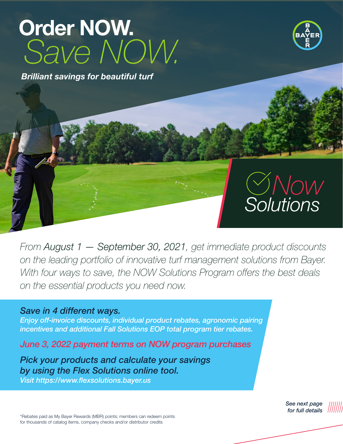# Order NOW. *Save NOW. Now Solutions*

*Brilliant savings for beautiful turf*

# **Now CONSER**

*Solutions*

**Solutions** 

*From August 1 — September 30, 2021, get immediate product discounts*  on the leading portfolio of innovative turf management solutions from Bayer. With four ways to save, the NOW Solutions Program offers the best deals *on the essential products you need now.* 

*Save in 4 different ways.* 

*Enjoy off-invoice discounts, individual product rebates, agronomic pairing incentives and additional Fall Solutions EOP total program tier rebates.*

*June 3, 2022 payment terms on NOW program purchases*

*Pick your products and calculate your savings by using the Flex Solutions online tool. Visit https://www.flexsolutions.bayer.us*

> *See next page for full details*

\*Rebates paid as My Bayer Rewards (MBR) points; members can redeem points for thousands of catalog items, company checks and/or distributor credits